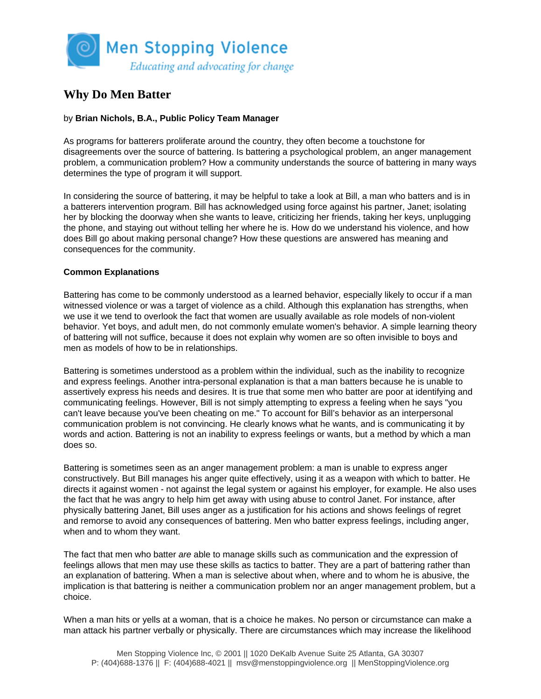

# **Why Do Men Batter**

## by **Brian Nichols, B.A., Public Policy Team Manager**

As programs for batterers proliferate around the country, they often become a touchstone for disagreements over the source of battering. Is battering a psychological problem, an anger management problem, a communication problem? How a community understands the source of battering in many ways determines the type of program it will support.

In considering the source of battering, it may be helpful to take a look at Bill, a man who batters and is in a batterers intervention program. Bill has acknowledged using force against his partner, Janet; isolating her by blocking the doorway when she wants to leave, criticizing her friends, taking her keys, unplugging the phone, and staying out without telling her where he is. How do we understand his violence, and how does Bill go about making personal change? How these questions are answered has meaning and consequences for the community.

## **Common Explanations**

Battering has come to be commonly understood as a learned behavior, especially likely to occur if a man witnessed violence or was a target of violence as a child. Although this explanation has strengths, when we use it we tend to overlook the fact that women are usually available as role models of non-violent behavior. Yet boys, and adult men, do not commonly emulate women's behavior. A simple learning theory of battering will not suffice, because it does not explain why women are so often invisible to boys and men as models of how to be in relationships.

Battering is sometimes understood as a problem within the individual, such as the inability to recognize and express feelings. Another intra-personal explanation is that a man batters because he is unable to assertively express his needs and desires. It is true that some men who batter are poor at identifying and communicating feelings. However, Bill is not simply attempting to express a feeling when he says "you can't leave because you've been cheating on me." To account for Bill's behavior as an interpersonal communication problem is not convincing. He clearly knows what he wants, and is communicating it by words and action. Battering is not an inability to express feelings or wants, but a method by which a man does so.

Battering is sometimes seen as an anger management problem: a man is unable to express anger constructively. But Bill manages his anger quite effectively, using it as a weapon with which to batter. He directs it against women - not against the legal system or against his employer, for example. He also uses the fact that he was angry to help him get away with using abuse to control Janet. For instance, after physically battering Janet, Bill uses anger as a justification for his actions and shows feelings of regret and remorse to avoid any consequences of battering. Men who batter express feelings, including anger, when and to whom they want.

The fact that men who batter *are* able to manage skills such as communication and the expression of feelings allows that men may use these skills as tactics to batter. They are a part of battering rather than an explanation of battering. When a man is selective about when, where and to whom he is abusive, the implication is that battering is neither a communication problem nor an anger management problem, but a choice.

When a man hits or yells at a woman, that is a choice he makes. No person or circumstance can make a man attack his partner verbally or physically. There are circumstances which may increase the likelihood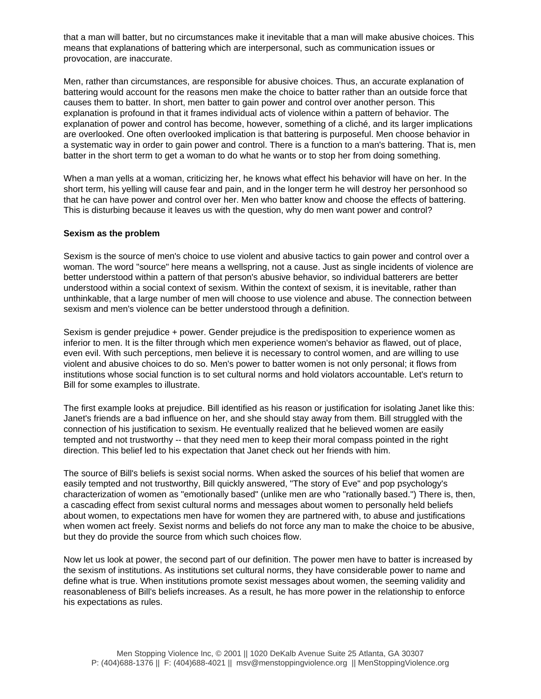that a man will batter, but no circumstances make it inevitable that a man will make abusive choices. This means that explanations of battering which are interpersonal, such as communication issues or provocation, are inaccurate.

Men, rather than circumstances, are responsible for abusive choices. Thus, an accurate explanation of battering would account for the reasons men make the choice to batter rather than an outside force that causes them to batter. In short, men batter to gain power and control over another person. This explanation is profound in that it frames individual acts of violence within a pattern of behavior. The explanation of power and control has become, however, something of a cliché, and its larger implications are overlooked. One often overlooked implication is that battering is purposeful. Men choose behavior in a systematic way in order to gain power and control. There is a function to a man's battering. That is, men batter in the short term to get a woman to do what he wants or to stop her from doing something.

When a man yells at a woman, criticizing her, he knows what effect his behavior will have on her. In the short term, his yelling will cause fear and pain, and in the longer term he will destroy her personhood so that he can have power and control over her. Men who batter know and choose the effects of battering. This is disturbing because it leaves us with the question, why do men want power and control?

#### **Sexism as the problem**

Sexism is the source of men's choice to use violent and abusive tactics to gain power and control over a woman. The word "source" here means a wellspring, not a cause. Just as single incidents of violence are better understood within a pattern of that person's abusive behavior, so individual batterers are better understood within a social context of sexism. Within the context of sexism, it is inevitable, rather than unthinkable, that a large number of men will choose to use violence and abuse. The connection between sexism and men's violence can be better understood through a definition.

Sexism is gender prejudice + power. Gender prejudice is the predisposition to experience women as inferior to men. It is the filter through which men experience women's behavior as flawed, out of place, even evil. With such perceptions, men believe it is necessary to control women, and are willing to use violent and abusive choices to do so. Men's power to batter women is not only personal; it flows from institutions whose social function is to set cultural norms and hold violators accountable. Let's return to Bill for some examples to illustrate.

The first example looks at prejudice. Bill identified as his reason or justification for isolating Janet like this: Janet's friends are a bad influence on her, and she should stay away from them. Bill struggled with the connection of his justification to sexism. He eventually realized that he believed women are easily tempted and not trustworthy -- that they need men to keep their moral compass pointed in the right direction. This belief led to his expectation that Janet check out her friends with him.

The source of Bill's beliefs is sexist social norms. When asked the sources of his belief that women are easily tempted and not trustworthy, Bill quickly answered, "The story of Eve" and pop psychology's characterization of women as "emotionally based" (unlike men are who "rationally based.") There is, then, a cascading effect from sexist cultural norms and messages about women to personally held beliefs about women, to expectations men have for women they are partnered with, to abuse and justifications when women act freely. Sexist norms and beliefs do not force any man to make the choice to be abusive, but they do provide the source from which such choices flow.

Now let us look at power, the second part of our definition. The power men have to batter is increased by the sexism of institutions. As institutions set cultural norms, they have considerable power to name and define what is true. When institutions promote sexist messages about women, the seeming validity and reasonableness of Bill's beliefs increases. As a result, he has more power in the relationship to enforce his expectations as rules.